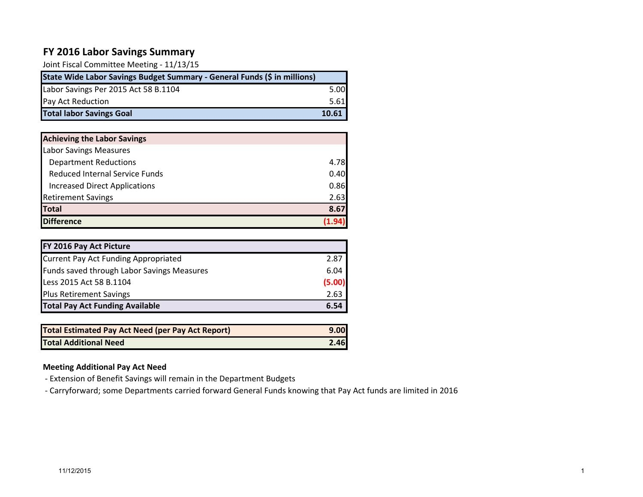# **FY 2016 Labor Savings Summary**

Joint Fiscal Committee Meeting - 11/13/15

| State Wide Labor Savings Budget Summary - General Funds (\$ in millions) |       |
|--------------------------------------------------------------------------|-------|
| Labor Savings Per 2015 Act 58 B.1104                                     | 5.00  |
| Pay Act Reduction                                                        | 5.61  |
| <b>Total labor Savings Goal</b>                                          | 10.61 |

| <b>Achieving the Labor Savings</b>    |      |
|---------------------------------------|------|
| <b>Labor Savings Measures</b>         |      |
| <b>Department Reductions</b>          | 4.78 |
| <b>Reduced Internal Service Funds</b> | 0.40 |
| <b>Increased Direct Applications</b>  | 0.86 |
| <b>Retirement Savings</b>             | 2.63 |
| <b>Total</b>                          | 8.67 |
| <b>Difference</b>                     |      |

| FY 2016 Pay Act Picture                    |        |
|--------------------------------------------|--------|
| Current Pay Act Funding Appropriated       | 2.87   |
| Funds saved through Labor Savings Measures | 6.04   |
| Less 2015 Act 58 B.1104                    | (5.00) |
| <b>Plus Retirement Savings</b>             | 2.63   |
| <b>Total Pay Act Funding Available</b>     | 6.54   |

| Total Estimated Pay Act Need (per Pay Act Report) | 9.00 |
|---------------------------------------------------|------|
| <b>Total Additional Need</b>                      | 2.46 |

### **Meeting Additional Pay Act Need**

- Extension of Benefit Savings will remain in the Department Budgets

- Carryforward; some Departments carried forward General Funds knowing that Pay Act funds are limited in 2016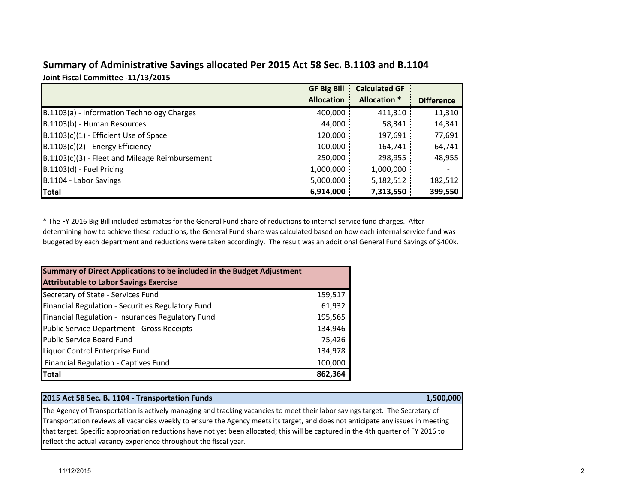| Summary of Administrative Savings allocated Per 2015 Act 58 Sec. B.1103 and B.1104 |  |
|------------------------------------------------------------------------------------|--|
| Joint Fiscal Committee -11/13/2015                                                 |  |

|                                                | <b>GF Big Bill</b> | <b>Calculated GF</b> |                   |
|------------------------------------------------|--------------------|----------------------|-------------------|
|                                                | <b>Allocation</b>  | <b>Allocation *</b>  | <b>Difference</b> |
| B.1103(a) - Information Technology Charges     | 400,000            | 411,310              | 11,310            |
| B.1103(b) - Human Resources                    | 44,000             | 58,341               | 14,341            |
| $B.1103(c)(1)$ - Efficient Use of Space        | 120,000            | 197,691              | 77,691            |
| $B.1103(c)(2)$ - Energy Efficiency             | 100,000            | 164,741              | 64,741            |
| B.1103(c)(3) - Fleet and Mileage Reimbursement | 250,000            | 298,955              | 48,955            |
| B.1103(d) - Fuel Pricing                       | 1,000,000          | 1,000,000            |                   |
| B.1104 - Labor Savings                         | 5,000,000          | 5,182,512            | 182,512           |
| <b>Total</b>                                   | 6,914,000          | 7,313,550            | 399,550           |

\* The FY 2016 Big Bill included estimates for the General Fund share of reductions to internal service fund charges. After determining how to achieve these reductions, the General Fund share was calculated based on how each internal service fund was budgeted by each department and reductions were taken accordingly. The result was an additional General Fund Savings of \$400k.

| Summary of Direct Applications to be included in the Budget Adjustment |         |
|------------------------------------------------------------------------|---------|
| <b>Attributable to Labor Savings Exercise</b>                          |         |
| Secretary of State - Services Fund                                     | 159,517 |
| Financial Regulation - Securities Regulatory Fund                      | 61,932  |
| Financial Regulation - Insurances Regulatory Fund                      | 195,565 |
| <b>Public Service Department - Gross Receipts</b>                      | 134,946 |
| <b>Public Service Board Fund</b>                                       | 75,426  |
| Liquor Control Enterprise Fund                                         | 134,978 |
| Financial Regulation - Captives Fund                                   | 100,000 |
| <b>Total</b>                                                           | 862,364 |

#### **2015 Act 58 Sec. B. 1104 - Transportation Funds 1,500,000**

The Agency of Transportation is actively managing and tracking vacancies to meet their labor savings target. The Secretary of Transportation reviews all vacancies weekly to ensure the Agency meets its target, and does not anticipate any issues in meeting that target. Specific appropriation reductions have not yet been allocated; this will be captured in the 4th quarter of FY 2016 to reflect the actual vacancy experience throughout the fiscal year.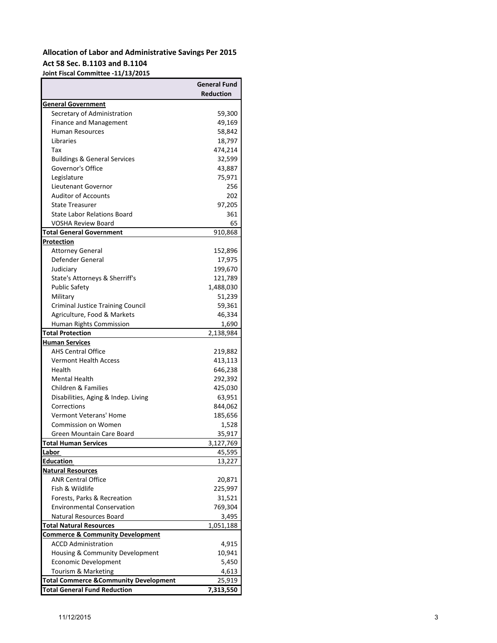## **Allocation of Labor and Administrative Savings Per 2015 Act 58 Sec. B.1103 and B.1104**

**Joint Fiscal Committee -11/13/2015**

| <b>Reduction</b><br>General Government<br>Secretary of Administration<br>59,300<br>49,169<br><b>Finance and Management</b><br>58,842<br><b>Human Resources</b><br>Libraries<br>18,797<br>474,214<br>Tax<br>32,599<br><b>Buildings &amp; General Services</b><br>Governor's Office<br>43,887<br>Legislature<br>75,971<br>Lieutenant Governor<br>256<br><b>Auditor of Accounts</b><br>202<br><b>State Treasurer</b><br>97,205<br><b>State Labor Relations Board</b><br>361<br><b>VOSHA Review Board</b><br>65<br>Total General Government<br>910,868<br>Protection<br><b>Attorney General</b><br>152,896<br>Defender General<br>17,975<br>199,670<br>Judiciary<br>State's Attorneys & Sherriff's<br>121,789<br><b>Public Safety</b><br>1,488,030<br>51,239<br>Military<br><b>Criminal Justice Training Council</b><br>59,361<br>Agriculture, Food & Markets<br>46,334<br>Human Rights Commission<br>1,690<br><b>Total Protection</b><br>2,138,984<br><b>Human Services</b><br><b>AHS Central Office</b><br>219,882<br><b>Vermont Health Access</b><br>413,113<br>Health<br>646,238<br>Mental Health<br>292,392<br>Children & Families<br>425,030<br>Disabilities, Aging & Indep. Living<br>63,951<br>Corrections<br>844,062<br>Vermont Veterans' Home<br>185,656<br><b>Commission on Women</b><br>1,528<br>Green Mountain Care Board<br>35,917<br>3,127,769<br><u>Labor</u><br>45,595<br>Education<br>13,227<br>Natural Resources<br><b>ANR Central Office</b><br>20,871<br>Fish & Wildlife<br>225,997<br>Forests, Parks & Recreation<br>31,521<br><b>Environmental Conservation</b><br>769,304<br>Natural Resources Board<br>3,495<br>Total Natural Resources<br>1,051,188<br><b>Commerce &amp; Community Development</b><br><b>ACCD Administration</b><br>4,915<br>10,941<br>Housing & Community Development<br><b>Economic Development</b><br>5,450<br>Tourism & Marketing<br>4,613<br><b>Total Commerce &amp; Community Development</b><br>25,919<br><b>Total General Fund Reduction</b><br>7,313,550 |                             | General Fund |
|---------------------------------------------------------------------------------------------------------------------------------------------------------------------------------------------------------------------------------------------------------------------------------------------------------------------------------------------------------------------------------------------------------------------------------------------------------------------------------------------------------------------------------------------------------------------------------------------------------------------------------------------------------------------------------------------------------------------------------------------------------------------------------------------------------------------------------------------------------------------------------------------------------------------------------------------------------------------------------------------------------------------------------------------------------------------------------------------------------------------------------------------------------------------------------------------------------------------------------------------------------------------------------------------------------------------------------------------------------------------------------------------------------------------------------------------------------------------------------------------------------------------------------------------------------------------------------------------------------------------------------------------------------------------------------------------------------------------------------------------------------------------------------------------------------------------------------------------------------------------------------------------------------------------------------------------------------------------------------------------------------|-----------------------------|--------------|
|                                                                                                                                                                                                                                                                                                                                                                                                                                                                                                                                                                                                                                                                                                                                                                                                                                                                                                                                                                                                                                                                                                                                                                                                                                                                                                                                                                                                                                                                                                                                                                                                                                                                                                                                                                                                                                                                                                                                                                                                         |                             |              |
|                                                                                                                                                                                                                                                                                                                                                                                                                                                                                                                                                                                                                                                                                                                                                                                                                                                                                                                                                                                                                                                                                                                                                                                                                                                                                                                                                                                                                                                                                                                                                                                                                                                                                                                                                                                                                                                                                                                                                                                                         |                             |              |
|                                                                                                                                                                                                                                                                                                                                                                                                                                                                                                                                                                                                                                                                                                                                                                                                                                                                                                                                                                                                                                                                                                                                                                                                                                                                                                                                                                                                                                                                                                                                                                                                                                                                                                                                                                                                                                                                                                                                                                                                         |                             |              |
|                                                                                                                                                                                                                                                                                                                                                                                                                                                                                                                                                                                                                                                                                                                                                                                                                                                                                                                                                                                                                                                                                                                                                                                                                                                                                                                                                                                                                                                                                                                                                                                                                                                                                                                                                                                                                                                                                                                                                                                                         |                             |              |
|                                                                                                                                                                                                                                                                                                                                                                                                                                                                                                                                                                                                                                                                                                                                                                                                                                                                                                                                                                                                                                                                                                                                                                                                                                                                                                                                                                                                                                                                                                                                                                                                                                                                                                                                                                                                                                                                                                                                                                                                         |                             |              |
|                                                                                                                                                                                                                                                                                                                                                                                                                                                                                                                                                                                                                                                                                                                                                                                                                                                                                                                                                                                                                                                                                                                                                                                                                                                                                                                                                                                                                                                                                                                                                                                                                                                                                                                                                                                                                                                                                                                                                                                                         |                             |              |
|                                                                                                                                                                                                                                                                                                                                                                                                                                                                                                                                                                                                                                                                                                                                                                                                                                                                                                                                                                                                                                                                                                                                                                                                                                                                                                                                                                                                                                                                                                                                                                                                                                                                                                                                                                                                                                                                                                                                                                                                         |                             |              |
|                                                                                                                                                                                                                                                                                                                                                                                                                                                                                                                                                                                                                                                                                                                                                                                                                                                                                                                                                                                                                                                                                                                                                                                                                                                                                                                                                                                                                                                                                                                                                                                                                                                                                                                                                                                                                                                                                                                                                                                                         |                             |              |
|                                                                                                                                                                                                                                                                                                                                                                                                                                                                                                                                                                                                                                                                                                                                                                                                                                                                                                                                                                                                                                                                                                                                                                                                                                                                                                                                                                                                                                                                                                                                                                                                                                                                                                                                                                                                                                                                                                                                                                                                         |                             |              |
|                                                                                                                                                                                                                                                                                                                                                                                                                                                                                                                                                                                                                                                                                                                                                                                                                                                                                                                                                                                                                                                                                                                                                                                                                                                                                                                                                                                                                                                                                                                                                                                                                                                                                                                                                                                                                                                                                                                                                                                                         |                             |              |
|                                                                                                                                                                                                                                                                                                                                                                                                                                                                                                                                                                                                                                                                                                                                                                                                                                                                                                                                                                                                                                                                                                                                                                                                                                                                                                                                                                                                                                                                                                                                                                                                                                                                                                                                                                                                                                                                                                                                                                                                         |                             |              |
|                                                                                                                                                                                                                                                                                                                                                                                                                                                                                                                                                                                                                                                                                                                                                                                                                                                                                                                                                                                                                                                                                                                                                                                                                                                                                                                                                                                                                                                                                                                                                                                                                                                                                                                                                                                                                                                                                                                                                                                                         |                             |              |
|                                                                                                                                                                                                                                                                                                                                                                                                                                                                                                                                                                                                                                                                                                                                                                                                                                                                                                                                                                                                                                                                                                                                                                                                                                                                                                                                                                                                                                                                                                                                                                                                                                                                                                                                                                                                                                                                                                                                                                                                         |                             |              |
|                                                                                                                                                                                                                                                                                                                                                                                                                                                                                                                                                                                                                                                                                                                                                                                                                                                                                                                                                                                                                                                                                                                                                                                                                                                                                                                                                                                                                                                                                                                                                                                                                                                                                                                                                                                                                                                                                                                                                                                                         |                             |              |
|                                                                                                                                                                                                                                                                                                                                                                                                                                                                                                                                                                                                                                                                                                                                                                                                                                                                                                                                                                                                                                                                                                                                                                                                                                                                                                                                                                                                                                                                                                                                                                                                                                                                                                                                                                                                                                                                                                                                                                                                         |                             |              |
|                                                                                                                                                                                                                                                                                                                                                                                                                                                                                                                                                                                                                                                                                                                                                                                                                                                                                                                                                                                                                                                                                                                                                                                                                                                                                                                                                                                                                                                                                                                                                                                                                                                                                                                                                                                                                                                                                                                                                                                                         |                             |              |
|                                                                                                                                                                                                                                                                                                                                                                                                                                                                                                                                                                                                                                                                                                                                                                                                                                                                                                                                                                                                                                                                                                                                                                                                                                                                                                                                                                                                                                                                                                                                                                                                                                                                                                                                                                                                                                                                                                                                                                                                         |                             |              |
|                                                                                                                                                                                                                                                                                                                                                                                                                                                                                                                                                                                                                                                                                                                                                                                                                                                                                                                                                                                                                                                                                                                                                                                                                                                                                                                                                                                                                                                                                                                                                                                                                                                                                                                                                                                                                                                                                                                                                                                                         |                             |              |
|                                                                                                                                                                                                                                                                                                                                                                                                                                                                                                                                                                                                                                                                                                                                                                                                                                                                                                                                                                                                                                                                                                                                                                                                                                                                                                                                                                                                                                                                                                                                                                                                                                                                                                                                                                                                                                                                                                                                                                                                         |                             |              |
|                                                                                                                                                                                                                                                                                                                                                                                                                                                                                                                                                                                                                                                                                                                                                                                                                                                                                                                                                                                                                                                                                                                                                                                                                                                                                                                                                                                                                                                                                                                                                                                                                                                                                                                                                                                                                                                                                                                                                                                                         |                             |              |
|                                                                                                                                                                                                                                                                                                                                                                                                                                                                                                                                                                                                                                                                                                                                                                                                                                                                                                                                                                                                                                                                                                                                                                                                                                                                                                                                                                                                                                                                                                                                                                                                                                                                                                                                                                                                                                                                                                                                                                                                         |                             |              |
|                                                                                                                                                                                                                                                                                                                                                                                                                                                                                                                                                                                                                                                                                                                                                                                                                                                                                                                                                                                                                                                                                                                                                                                                                                                                                                                                                                                                                                                                                                                                                                                                                                                                                                                                                                                                                                                                                                                                                                                                         |                             |              |
|                                                                                                                                                                                                                                                                                                                                                                                                                                                                                                                                                                                                                                                                                                                                                                                                                                                                                                                                                                                                                                                                                                                                                                                                                                                                                                                                                                                                                                                                                                                                                                                                                                                                                                                                                                                                                                                                                                                                                                                                         |                             |              |
|                                                                                                                                                                                                                                                                                                                                                                                                                                                                                                                                                                                                                                                                                                                                                                                                                                                                                                                                                                                                                                                                                                                                                                                                                                                                                                                                                                                                                                                                                                                                                                                                                                                                                                                                                                                                                                                                                                                                                                                                         |                             |              |
|                                                                                                                                                                                                                                                                                                                                                                                                                                                                                                                                                                                                                                                                                                                                                                                                                                                                                                                                                                                                                                                                                                                                                                                                                                                                                                                                                                                                                                                                                                                                                                                                                                                                                                                                                                                                                                                                                                                                                                                                         |                             |              |
|                                                                                                                                                                                                                                                                                                                                                                                                                                                                                                                                                                                                                                                                                                                                                                                                                                                                                                                                                                                                                                                                                                                                                                                                                                                                                                                                                                                                                                                                                                                                                                                                                                                                                                                                                                                                                                                                                                                                                                                                         |                             |              |
|                                                                                                                                                                                                                                                                                                                                                                                                                                                                                                                                                                                                                                                                                                                                                                                                                                                                                                                                                                                                                                                                                                                                                                                                                                                                                                                                                                                                                                                                                                                                                                                                                                                                                                                                                                                                                                                                                                                                                                                                         |                             |              |
|                                                                                                                                                                                                                                                                                                                                                                                                                                                                                                                                                                                                                                                                                                                                                                                                                                                                                                                                                                                                                                                                                                                                                                                                                                                                                                                                                                                                                                                                                                                                                                                                                                                                                                                                                                                                                                                                                                                                                                                                         |                             |              |
|                                                                                                                                                                                                                                                                                                                                                                                                                                                                                                                                                                                                                                                                                                                                                                                                                                                                                                                                                                                                                                                                                                                                                                                                                                                                                                                                                                                                                                                                                                                                                                                                                                                                                                                                                                                                                                                                                                                                                                                                         |                             |              |
|                                                                                                                                                                                                                                                                                                                                                                                                                                                                                                                                                                                                                                                                                                                                                                                                                                                                                                                                                                                                                                                                                                                                                                                                                                                                                                                                                                                                                                                                                                                                                                                                                                                                                                                                                                                                                                                                                                                                                                                                         |                             |              |
|                                                                                                                                                                                                                                                                                                                                                                                                                                                                                                                                                                                                                                                                                                                                                                                                                                                                                                                                                                                                                                                                                                                                                                                                                                                                                                                                                                                                                                                                                                                                                                                                                                                                                                                                                                                                                                                                                                                                                                                                         |                             |              |
|                                                                                                                                                                                                                                                                                                                                                                                                                                                                                                                                                                                                                                                                                                                                                                                                                                                                                                                                                                                                                                                                                                                                                                                                                                                                                                                                                                                                                                                                                                                                                                                                                                                                                                                                                                                                                                                                                                                                                                                                         |                             |              |
|                                                                                                                                                                                                                                                                                                                                                                                                                                                                                                                                                                                                                                                                                                                                                                                                                                                                                                                                                                                                                                                                                                                                                                                                                                                                                                                                                                                                                                                                                                                                                                                                                                                                                                                                                                                                                                                                                                                                                                                                         |                             |              |
|                                                                                                                                                                                                                                                                                                                                                                                                                                                                                                                                                                                                                                                                                                                                                                                                                                                                                                                                                                                                                                                                                                                                                                                                                                                                                                                                                                                                                                                                                                                                                                                                                                                                                                                                                                                                                                                                                                                                                                                                         |                             |              |
|                                                                                                                                                                                                                                                                                                                                                                                                                                                                                                                                                                                                                                                                                                                                                                                                                                                                                                                                                                                                                                                                                                                                                                                                                                                                                                                                                                                                                                                                                                                                                                                                                                                                                                                                                                                                                                                                                                                                                                                                         |                             |              |
|                                                                                                                                                                                                                                                                                                                                                                                                                                                                                                                                                                                                                                                                                                                                                                                                                                                                                                                                                                                                                                                                                                                                                                                                                                                                                                                                                                                                                                                                                                                                                                                                                                                                                                                                                                                                                                                                                                                                                                                                         |                             |              |
|                                                                                                                                                                                                                                                                                                                                                                                                                                                                                                                                                                                                                                                                                                                                                                                                                                                                                                                                                                                                                                                                                                                                                                                                                                                                                                                                                                                                                                                                                                                                                                                                                                                                                                                                                                                                                                                                                                                                                                                                         |                             |              |
|                                                                                                                                                                                                                                                                                                                                                                                                                                                                                                                                                                                                                                                                                                                                                                                                                                                                                                                                                                                                                                                                                                                                                                                                                                                                                                                                                                                                                                                                                                                                                                                                                                                                                                                                                                                                                                                                                                                                                                                                         |                             |              |
|                                                                                                                                                                                                                                                                                                                                                                                                                                                                                                                                                                                                                                                                                                                                                                                                                                                                                                                                                                                                                                                                                                                                                                                                                                                                                                                                                                                                                                                                                                                                                                                                                                                                                                                                                                                                                                                                                                                                                                                                         | <b>Total Human Services</b> |              |
|                                                                                                                                                                                                                                                                                                                                                                                                                                                                                                                                                                                                                                                                                                                                                                                                                                                                                                                                                                                                                                                                                                                                                                                                                                                                                                                                                                                                                                                                                                                                                                                                                                                                                                                                                                                                                                                                                                                                                                                                         |                             |              |
|                                                                                                                                                                                                                                                                                                                                                                                                                                                                                                                                                                                                                                                                                                                                                                                                                                                                                                                                                                                                                                                                                                                                                                                                                                                                                                                                                                                                                                                                                                                                                                                                                                                                                                                                                                                                                                                                                                                                                                                                         |                             |              |
|                                                                                                                                                                                                                                                                                                                                                                                                                                                                                                                                                                                                                                                                                                                                                                                                                                                                                                                                                                                                                                                                                                                                                                                                                                                                                                                                                                                                                                                                                                                                                                                                                                                                                                                                                                                                                                                                                                                                                                                                         |                             |              |
|                                                                                                                                                                                                                                                                                                                                                                                                                                                                                                                                                                                                                                                                                                                                                                                                                                                                                                                                                                                                                                                                                                                                                                                                                                                                                                                                                                                                                                                                                                                                                                                                                                                                                                                                                                                                                                                                                                                                                                                                         |                             |              |
|                                                                                                                                                                                                                                                                                                                                                                                                                                                                                                                                                                                                                                                                                                                                                                                                                                                                                                                                                                                                                                                                                                                                                                                                                                                                                                                                                                                                                                                                                                                                                                                                                                                                                                                                                                                                                                                                                                                                                                                                         |                             |              |
|                                                                                                                                                                                                                                                                                                                                                                                                                                                                                                                                                                                                                                                                                                                                                                                                                                                                                                                                                                                                                                                                                                                                                                                                                                                                                                                                                                                                                                                                                                                                                                                                                                                                                                                                                                                                                                                                                                                                                                                                         |                             |              |
|                                                                                                                                                                                                                                                                                                                                                                                                                                                                                                                                                                                                                                                                                                                                                                                                                                                                                                                                                                                                                                                                                                                                                                                                                                                                                                                                                                                                                                                                                                                                                                                                                                                                                                                                                                                                                                                                                                                                                                                                         |                             |              |
|                                                                                                                                                                                                                                                                                                                                                                                                                                                                                                                                                                                                                                                                                                                                                                                                                                                                                                                                                                                                                                                                                                                                                                                                                                                                                                                                                                                                                                                                                                                                                                                                                                                                                                                                                                                                                                                                                                                                                                                                         |                             |              |
|                                                                                                                                                                                                                                                                                                                                                                                                                                                                                                                                                                                                                                                                                                                                                                                                                                                                                                                                                                                                                                                                                                                                                                                                                                                                                                                                                                                                                                                                                                                                                                                                                                                                                                                                                                                                                                                                                                                                                                                                         |                             |              |
|                                                                                                                                                                                                                                                                                                                                                                                                                                                                                                                                                                                                                                                                                                                                                                                                                                                                                                                                                                                                                                                                                                                                                                                                                                                                                                                                                                                                                                                                                                                                                                                                                                                                                                                                                                                                                                                                                                                                                                                                         |                             |              |
|                                                                                                                                                                                                                                                                                                                                                                                                                                                                                                                                                                                                                                                                                                                                                                                                                                                                                                                                                                                                                                                                                                                                                                                                                                                                                                                                                                                                                                                                                                                                                                                                                                                                                                                                                                                                                                                                                                                                                                                                         |                             |              |
|                                                                                                                                                                                                                                                                                                                                                                                                                                                                                                                                                                                                                                                                                                                                                                                                                                                                                                                                                                                                                                                                                                                                                                                                                                                                                                                                                                                                                                                                                                                                                                                                                                                                                                                                                                                                                                                                                                                                                                                                         |                             |              |
|                                                                                                                                                                                                                                                                                                                                                                                                                                                                                                                                                                                                                                                                                                                                                                                                                                                                                                                                                                                                                                                                                                                                                                                                                                                                                                                                                                                                                                                                                                                                                                                                                                                                                                                                                                                                                                                                                                                                                                                                         |                             |              |
|                                                                                                                                                                                                                                                                                                                                                                                                                                                                                                                                                                                                                                                                                                                                                                                                                                                                                                                                                                                                                                                                                                                                                                                                                                                                                                                                                                                                                                                                                                                                                                                                                                                                                                                                                                                                                                                                                                                                                                                                         |                             |              |
|                                                                                                                                                                                                                                                                                                                                                                                                                                                                                                                                                                                                                                                                                                                                                                                                                                                                                                                                                                                                                                                                                                                                                                                                                                                                                                                                                                                                                                                                                                                                                                                                                                                                                                                                                                                                                                                                                                                                                                                                         |                             |              |
|                                                                                                                                                                                                                                                                                                                                                                                                                                                                                                                                                                                                                                                                                                                                                                                                                                                                                                                                                                                                                                                                                                                                                                                                                                                                                                                                                                                                                                                                                                                                                                                                                                                                                                                                                                                                                                                                                                                                                                                                         |                             |              |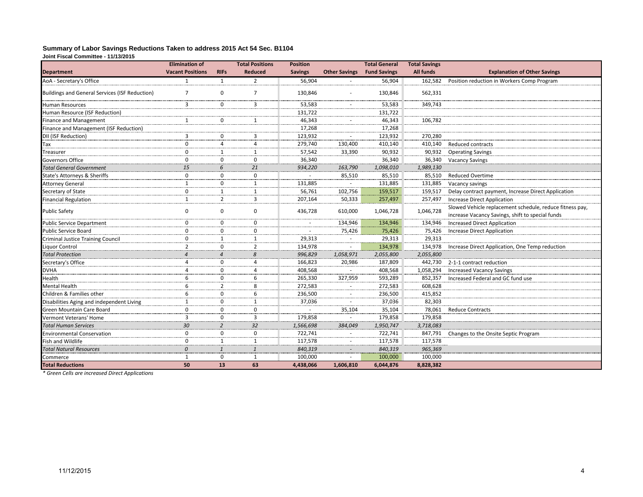#### **Summary of Labor Savings Reductions Taken to address 2015 Act 54 Sec. B1104 Joint Fiscal Committee - 11/13/2015**

|                                                | <b>Elimination of</b>   |                | <b>Total Positions</b> | <b>Position</b> |                      | <b>Total General</b> | <b>Total Savings</b> |                                                                                                              |
|------------------------------------------------|-------------------------|----------------|------------------------|-----------------|----------------------|----------------------|----------------------|--------------------------------------------------------------------------------------------------------------|
| <b>Department</b>                              | <b>Vacant Positions</b> | <b>RIFs</b>    | <b>Reduced</b>         | <b>Savings</b>  | <b>Other Savings</b> | <b>Fund Savings</b>  | <b>All funds</b>     | <b>Explanation of Other Savings</b>                                                                          |
| AoA - Secretary's Office                       | 1                       | 1              | 2                      | 56,904          |                      | 56,904               | 162,582              | Position reduction in Workers Comp Program                                                                   |
| Buildings and General Services (ISF Reduction) | $\overline{7}$          | 0              | 7                      | 130,846         |                      | 130,846              | 562,331              |                                                                                                              |
| Human Resources                                | 3                       | 0              | 3                      | 53,583          |                      | 53,583               | 349,743              |                                                                                                              |
| Human Resource (ISF Reduction)                 |                         |                |                        | 131,722         |                      | 131,722              |                      |                                                                                                              |
| Finance and Management                         | 1                       | 0              | -1                     | 46,343          |                      | 46,343               | 106,782              |                                                                                                              |
| Finance and Management (ISF Reduction)         |                         |                |                        | 17,268          |                      | 17,268               |                      |                                                                                                              |
| DII (ISF Reduction)                            | 3                       | 0              | 3                      | 123,932         |                      | 123,932              | 270,280              |                                                                                                              |
| Tax                                            | $\Omega$                | 4              | 4                      | 279,740         | 130,400              | 410,140              | 410,140              | <b>Reduced contracts</b>                                                                                     |
| Treasurer                                      | $\Omega$                | $\mathbf{1}$   | 1                      | 57,542          | 33,390               | 90,932               | 90,932               | <b>Operating Savings</b>                                                                                     |
| Governors Office                               | $\Omega$                | 0              | $\mathbf 0$            | 36,340          |                      | 36,340               | 36,340               | <b>Vacancy Savings</b>                                                                                       |
| <b>Total General Government</b>                | 15                      | 6              | 21                     | 934,220         | 163,790              | 1,098,010            | 1,989,130            |                                                                                                              |
| <b>State's Attorneys &amp; Sheriffs</b>        | $\mathbf 0$             | $\mathbf 0$    | $\mathbf 0$            | ÷.              | 85,510               | 85,510               | 85,510               | <b>Reduced Overtime</b>                                                                                      |
| <b>Attorney General</b>                        | $\mathbf{1}$            | $\mathbf 0$    | $\mathbf{1}$           | 131,885         |                      | 131,885              | 131,885              | Vacancy savings                                                                                              |
| Secretary of State                             | 0                       | 1              | $\mathbf{1}$           | 56,761          | 102,756              | 159,517              | 159,517              | Delay contract payment, Increase Direct Application                                                          |
| Financial Regulation                           | 1                       | $\overline{2}$ | 3                      | 207,164         | 50,333               | 257,497              | 257,497              | <b>Increase Direct Application</b>                                                                           |
| Public Safety                                  | 0                       | $\mathbf 0$    | $\mathbf 0$            | 436,728         | 610,000              | 1,046,728            | 1,046,728            | Slowed Vehicle replacement schedule, reduce fitness pay,<br>increase Vacancy Savings, shift to special funds |
| Public Service Department                      | $\Omega$                | $\mathbf 0$    | $\mathbf 0$            |                 | 134,946              | 134,946              | 134,946              | <b>Increased Direct Application</b>                                                                          |
| Public Service Board                           | $\Omega$                | $\mathbf 0$    | $\mathbf 0$            |                 | 75,426               | 75,426               | 75,426               | <b>Increase Direct Application</b>                                                                           |
| Criminal Justice Training Council              | 0                       | $\mathbf{1}$   | 1                      | 29,313          |                      | 29,313               | 29,313               |                                                                                                              |
| Liguor Control                                 | $\overline{2}$          | 0              | $\overline{2}$         | 134,978         |                      | 134,978              | 134,978              | Increase Direct Application, One Temp reduction                                                              |
| <b>Total Protection</b>                        | $\overline{A}$          | $\overline{4}$ | 8                      | 996,829         | 1,058,971            | 2,055,800            | 2,055,800            |                                                                                                              |
| Secretary's Office                             | 4                       | $\mathbf 0$    | $\overline{4}$         | 166,823         | 20,986               | 187,809              | 442,730              | 2-1-1 contract reduction                                                                                     |
| <b>DVHA</b>                                    | $\overline{a}$          | $\mathbf 0$    | $\overline{a}$         | 408,568         |                      | 408,568              | 1,058,294            | <b>Increased Vacancy Savings</b>                                                                             |
| Health                                         | 6                       | 0              | 6                      | 265,330         | 327,959              | 593,289              | 852,357              | Increased Federal and GC fund use                                                                            |
| Mental Health                                  | 6                       | $\overline{2}$ | 8                      | 272,583         |                      | 272,583              | 608,628              |                                                                                                              |
| Children & Families other                      | 6                       | $\mathbf 0$    | 6                      | 236,500         |                      | 236,500              | 415,852              |                                                                                                              |
| Disabilities Aging and independent Living      | $\mathbf{1}$            | $\mathbf 0$    | 1                      | 37,036          |                      | 37,036               | 82,303               |                                                                                                              |
| Green Mountain Care Board                      | 0                       | 0              | $\mathbf 0$            |                 | 35,104               | 35,104               | 78,061               | <b>Reduce Contracts</b>                                                                                      |
| Vermont Veterans' Home                         | 3                       | 0              | 3                      | 179,858         |                      | 179,858              | 179,858              |                                                                                                              |
| <b>Total Human Services</b>                    | 30                      | $\overline{2}$ | 32                     | 1,566,698       | 384,049              | 1,950,747            | 3,718,083            |                                                                                                              |
| <b>Environmental Conservation</b>              | $\Omega$                | $\mathbf 0$    | $\mathbf 0$            | 722,741         |                      | 722,741              | 847,791              | Changes to the Onsite Septic Program                                                                         |
| Fish and Wildlife                              | 0                       | $\mathbf{1}$   | $\mathbf{1}$           | 117,578         |                      | 117,578              | 117,578              |                                                                                                              |
| <b>Total Natural Resources</b>                 | $\Omega$                | $\mathbf{1}$   | $\mathbf{1}$           | 840,319         |                      | 840,319              | 965,369              |                                                                                                              |
| Commerce                                       | $\mathbf{1}$            | $\mathbf 0$    | $\mathbf{1}$           | 100,000         |                      | 100,000              | 100,000              |                                                                                                              |
| <b>Total Reductions</b>                        | 50                      | 13             | 63                     | 4,438,066       | 1,606,810            | 6,044,876            | 8,828,382            |                                                                                                              |

*\* Green Cells are increased Direct Applications*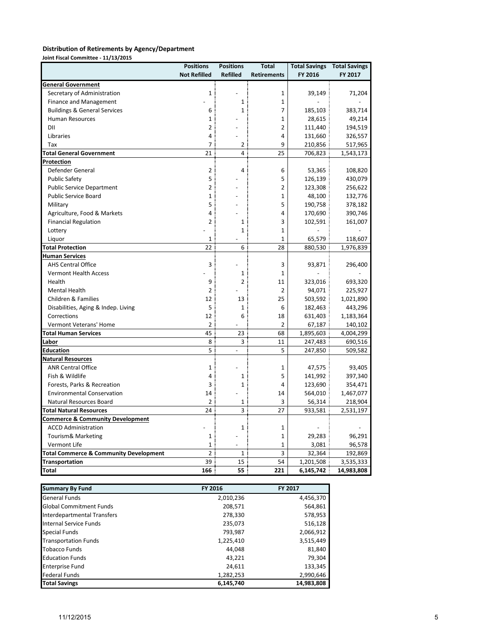#### **Distribution of Retirements by Agency/Department**

**Joint Fiscal Committee - 11/13/2015**

|                                                   | <b>Positions</b>    | <b>Positions</b> | <b>Total</b>       | <b>Total Savings Total Savings</b> |            |
|---------------------------------------------------|---------------------|------------------|--------------------|------------------------------------|------------|
|                                                   | <b>Not Refilled</b> | <b>Refilled</b>  | <b>Retirements</b> | FY 2016                            | FY 2017    |
| <b>General Government</b>                         |                     |                  |                    |                                    |            |
| Secretary of Administration                       | 1                   |                  | 1                  | 39,149                             | 71,204     |
| <b>Finance and Management</b>                     |                     | $\mathbf{1}$     | $\mathbf{1}$       |                                    |            |
| <b>Buildings &amp; General Services</b>           | 6                   | $\mathbf{1}$     | $\overline{7}$     | 185,103                            | 383,714    |
| Human Resources                                   | 1                   |                  | $\mathbf{1}$       | 28,615                             | 49,214     |
| DII                                               | $\overline{2}$      |                  | $\overline{2}$     | 111,440                            | 194,519    |
| Libraries                                         | 4                   |                  | $\overline{4}$     | 131,660                            | 326,557    |
| Tax                                               | 7                   | 2                | 9                  | 210,856                            | 517,965    |
| <b>Total General Government</b>                   | 21                  | 4                | 25                 | 706,823                            | 1,543,173  |
| <u>Protection</u>                                 |                     |                  |                    |                                    |            |
| Defender General                                  | $\overline{2}$      | 4                | 6                  | 53,365                             | 108,820    |
| <b>Public Safety</b>                              | 5                   |                  | 5                  | 126,139                            | 430,079    |
| <b>Public Service Department</b>                  | 2                   |                  | $\overline{2}$     | 123,308                            | 256,622    |
| <b>Public Service Board</b>                       | $\mathbf{1}$        |                  | $\mathbf{1}$       | 48,100                             | 132,776    |
| Military                                          | 5                   |                  | 5                  | 190,758                            | 378,182    |
| Agriculture, Food & Markets                       | 4                   |                  | $\overline{4}$     | 170,690                            | 390,746    |
| <b>Financial Regulation</b>                       | $\overline{2}$      | 1                | 3                  | 102,591                            | 161,007    |
| Lottery                                           |                     | $\mathbf{1}$     | $\mathbf{1}$       |                                    |            |
| Liquor                                            | $\mathbf{1}$        |                  | $\mathbf{1}$       | 65,579                             | 118,607    |
| <b>Total Protection</b>                           | 22                  | 6                | 28                 | 880,530                            | 1,976,839  |
| <b>Human Services</b>                             |                     |                  |                    |                                    |            |
| <b>AHS Central Office</b>                         | 3                   |                  | 3                  | 93,871                             | 296,400    |
| <b>Vermont Health Access</b>                      |                     | $\mathbf{1}$     | $\mathbf{1}$       |                                    |            |
| Health                                            | 9                   | $\overline{2}$   | 11                 | 323,016                            | 693,320    |
| <b>Mental Health</b>                              | 2                   |                  | 2                  | 94,071                             | 225,927    |
| Children & Families                               | 12                  | 13               | 25                 | 503,592                            | 1,021,890  |
| Disabilities, Aging & Indep. Living               | 5                   | $\mathbf{1}$     | 6                  | 182,463                            | 443,296    |
| Corrections                                       | 12                  | 6                | 18                 | 631,403                            | 1,183,364  |
| Vermont Veterans' Home                            | 2                   |                  | $\overline{2}$     | 67,187                             | 140,102    |
| <b>Total Human Services</b>                       | 45                  | 23               | 68                 | 1,895,603                          | 4,004,299  |
| Labor                                             | 8                   | 3                | 11                 | 247,483                            | 690,516    |
| Education                                         | 5                   | $\blacksquare$   | 5                  | 247,850                            | 509,582    |
| <b>Natural Resources</b>                          |                     |                  |                    |                                    |            |
| <b>ANR Central Office</b>                         | $\mathbf{1}$        |                  | $\mathbf{1}$       | 47,575                             | 93,405     |
| Fish & Wildlife                                   | 4                   | $\mathbf{1}$     | 5                  | 141,992                            | 397,340    |
| Forests, Parks & Recreation                       | 3                   | $\mathbf{1}$     | 4                  | 123,690                            | 354,471    |
| <b>Environmental Conservation</b>                 | 14                  |                  | 14                 | 564,010                            | 1,467,077  |
| Natural Resources Board                           | 2                   | 1                | 3                  | 56,314                             | 218,904    |
| <b>Total Natural Resources</b>                    | 24                  | 3                | 27                 | 933,581                            | 2,531,197  |
| <b>Commerce &amp; Community Development</b>       |                     |                  |                    |                                    |            |
| <b>ACCD Administration</b>                        |                     | $\mathbf{1}$     | $\mathbf{1}$       |                                    |            |
| Tourism& Marketing                                | 1                   |                  | $\mathbf 1$        | 29,283                             | 96,291     |
| Vermont Life                                      | 1                   |                  | $\mathbf 1$        | 3,081                              | 96,578     |
| <b>Total Commerce &amp; Community Development</b> | $\overline{2}$      | $\mathbf{1}$     | 3                  | 32,364                             | 192,869    |
| <b>Transportation</b>                             | 39                  | 15               | 54                 | 1,201,508                          | 3,535,333  |
| Total                                             | 166                 | 55               | 221                | 6,145,742                          | 14,983,808 |

| <b>Summary By Fund</b>         | FY 2016   | <b>FY 2017</b> |
|--------------------------------|-----------|----------------|
| <b>General Funds</b>           | 2,010,236 | 4,456,370      |
| <b>Global Commitment Funds</b> | 208,571   | 564,861        |
| Interdepartmental Transfers    | 278,330   | 578,953        |
| Internal Service Funds         | 235,073   | 516,128        |
| <b>Special Funds</b>           | 793,987   | 2,066,912      |
| <b>Transportation Funds</b>    | 1,225,410 | 3,515,449      |
| <b>Tobacco Funds</b>           | 44,048    | 81,840         |
| <b>Education Funds</b>         | 43,221    | 79,304         |
| <b>Enterprise Fund</b>         | 24,611    | 133,345        |
| <b>Federal Funds</b>           | 1,282,253 | 2,990,646      |
| <b>Total Savings</b>           | 6,145,740 | 14,983,808     |